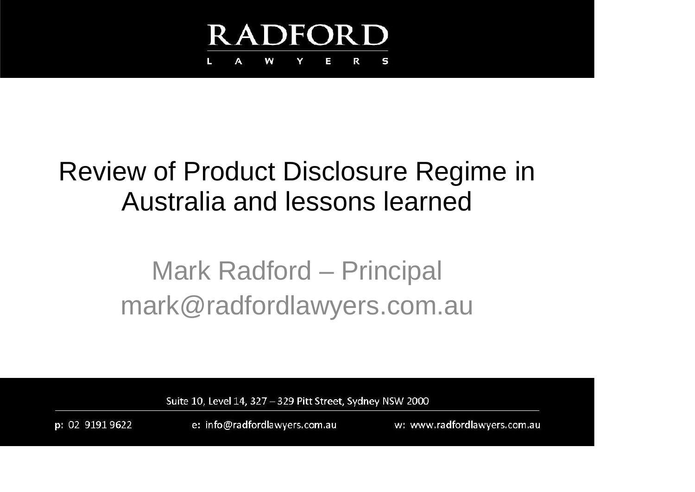

### Review of Product Disclosure Regime in Australia and lessons learned

### Mark Radford – Principal mark@radfordlawyers.com.au

Suite 10, Level 14, 327 - 329 Pitt Street, Sydney NSW 2000

p: 02 9191 9622

e: info@radfordlawyers.com.au

w: www.radfordlawyers.com.au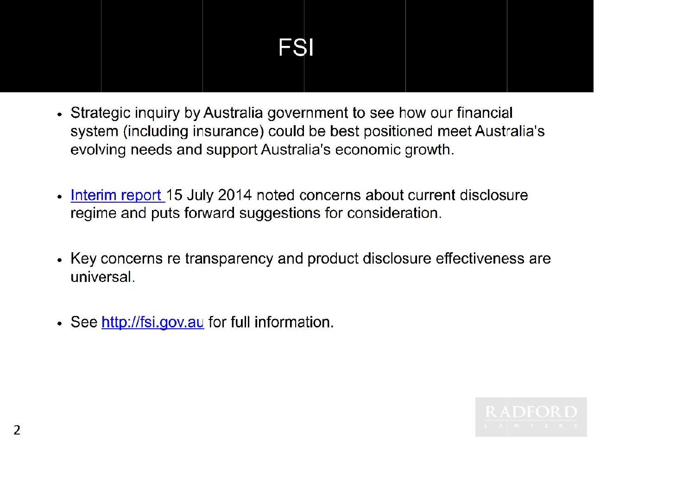### FSI

- Strategic inquiry by Australia government to see how our financial system (including insurance) could be best positioned meet Australia's evolving needs and support Australia's economic growth.
- Interim report 15 July 2014 noted concerns about current disclosure  $\bullet$ regime and puts forward suggestions for consideration.
- Key concerns re transparency and product disclosure effectiveness are universal.
- See http://fsi.gov.au for full information.

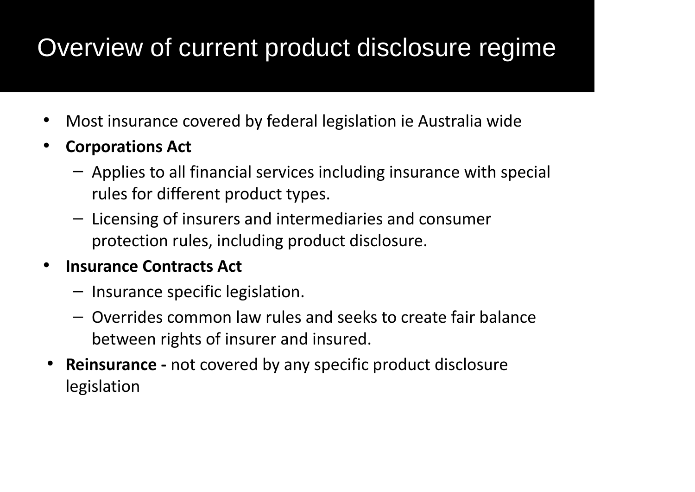### Overview of current product disclosure regime

- Most insurance covered by federal legislation ie Australia wide
- **Corporations Act**
	- Applies to all financial services including insurance with special rules for different product types.
	- Licensing of insurers and intermediaries and consumer protection rules, including product disclosure.
- **Insurance Contracts Act**
	- Insurance specific legislation.
	- Overrides common law rules and seeks to create fair balance between rights of insurer and insured.
- **Reinsurance -** not covered by any specific product disclosure legislation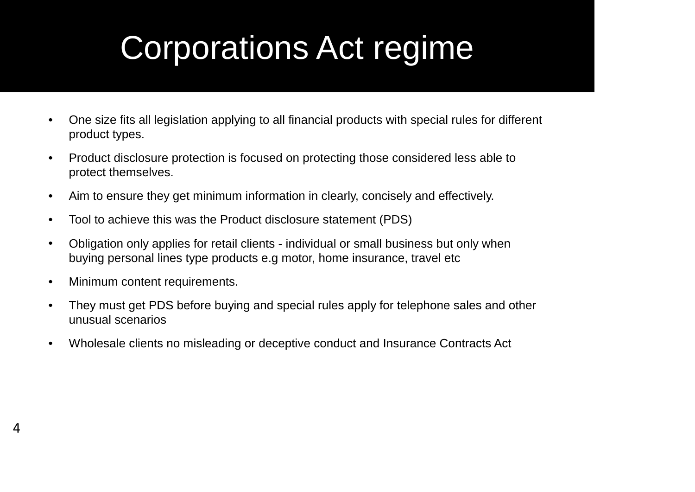## Corporations Act regime

- One size fits all legislation applying to all financial products with special rules for different product types.
- Product disclosure protection is focused on protecting those considered less able to protect themselves.
- Aim to ensure they get minimum information in clearly, concisely and effectively.
- Tool to achieve this was the Product disclosure statement (PDS)
- Obligation only applies for retail clients individual or small business but only when buying personal lines type products e.g motor, home insurance, travel etc
- Minimum content requirements.
- They must get PDS before buying and special rules apply for telephone sales and other unusual scenarios
- Wholesale clients no misleading or deceptive conduct and Insurance Contracts Act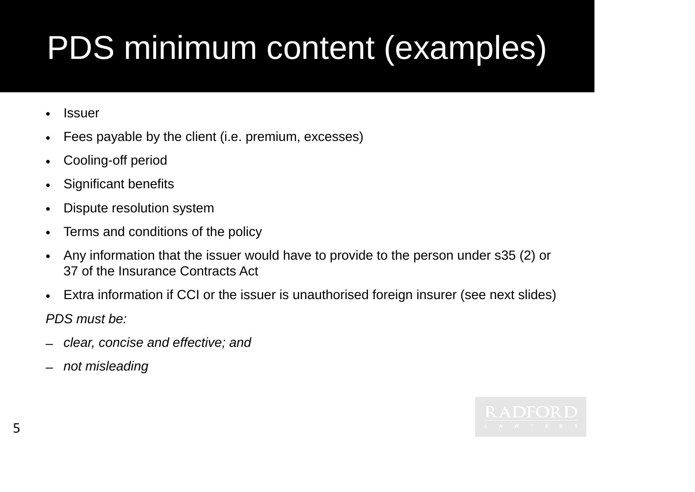# PDS minimum content (examples)

- Issuer
- Fees payable by the client (i.e. premium, excesses)
- Cooling-off period
- Significant benefits
- Dispute resolution system
- Terms and conditions of the policy
- Any information that the issuer would have to provide to the person under s35 (2) or 37 of the Insurance Contracts Act
- Extra information if CCI or the issuer is unauthorised foreign insurer (see next slides) *PDS must be:*
- *clear, concise and effective; and*
- *not misleading*

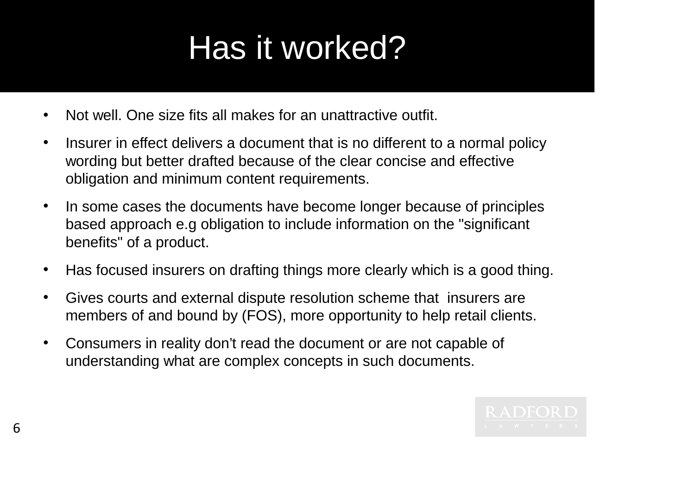# Has it worked?

- Not well. One size fits all makes for an unattractive outfit.
- Insurer in effect delivers a document that is no different to a normal policy wording but better drafted because of the clear concise and effective obligation and minimum content requirements.
- In some cases the documents have become longer because of principles based approach e.g obligation to include information on the "significant benefits" of a product.
- Has focused insurers on drafting things more clearly which is a good thing.
- Gives courts and external dispute resolution scheme that insurers are members of and bound by (FOS), more opportunity to help retail clients.
- Consumers in reality don't read the document or are not capable of understanding what are complex concepts in such documents.

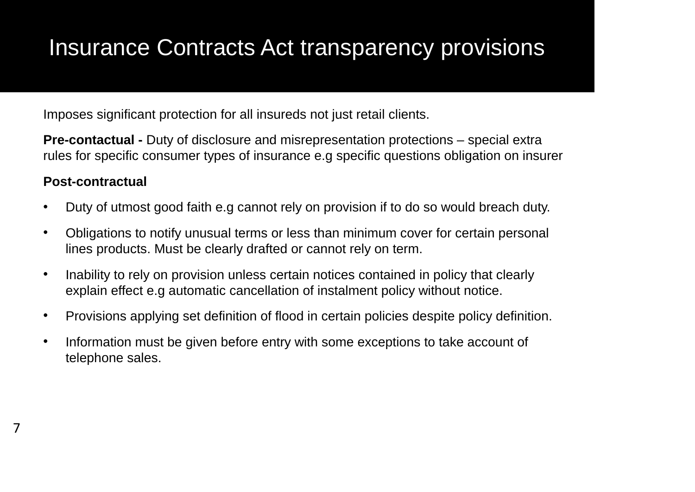### Insurance Contracts Act transparency provisions

Imposes significant protection for all insureds not just retail clients.

**Pre-contactual -** Duty of disclosure and misrepresentation protections – special extra rules for specific consumer types of insurance e.g specific questions obligation on insurer

### **Post-contractual**

7

- Duty of utmost good faith e.g cannot rely on provision if to do so would breach duty.
- Obligations to notify unusual terms or less than minimum cover for certain personal lines products. Must be clearly drafted or cannot rely on term.
- Inability to rely on provision unless certain notices contained in policy that clearly explain effect e.g automatic cancellation of instalment policy without notice.
- Provisions applying set definition of flood in certain policies despite policy definition.
- Information must be given before entry with some exceptions to take account of telephone sales.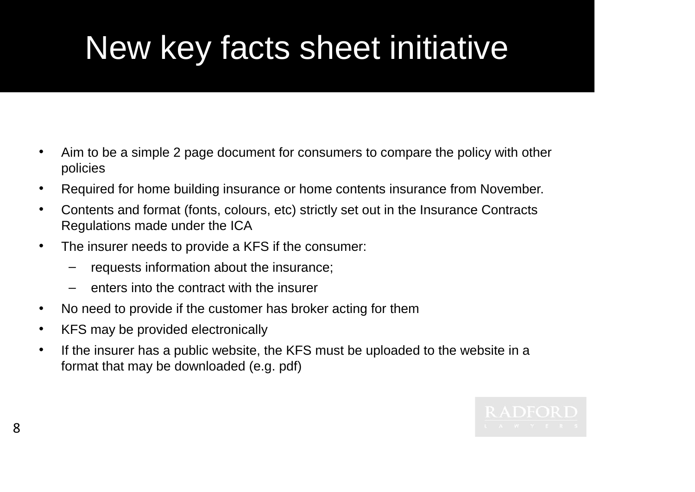# New key facts sheet initiative

- Aim to be a simple 2 page document for consumers to compare the policy with other policies
- Required for home building insurance or home contents insurance from November.
- Contents and format (fonts, colours, etc) strictly set out in the Insurance Contracts Regulations made under the ICA
- The insurer needs to provide a KFS if the consumer:
	- requests information about the insurance;
	- enters into the contract with the insurer
- No need to provide if the customer has broker acting for them
- KFS may be provided electronically
- If the insurer has a public website, the KFS must be uploaded to the website in a format that may be downloaded (e.g. pdf)

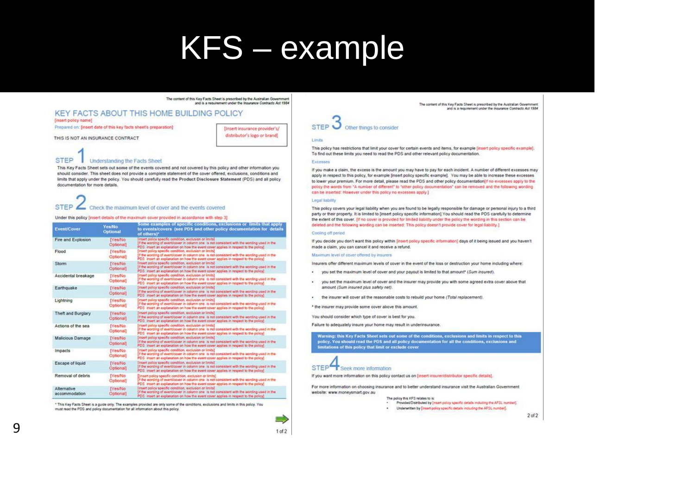## KFS – example

### The content of this Key Facts Sheet is prescribed by the Australian Gover and is a requirement under the Insurance Contracts Act 1984

### **KEY FACTS ABOUT THIS HOME BUILDING POLICY Cinnert policy name!**

Prepared on: [insert date of this key facts sheet's preparation]

THIS IS NOT AN INSURANCE CONTRACT

### linsert insurance provider's/ distributor's logo or brand)

### **STEP** Understanding the Facts Sheet

This Key Facts Sheet sets out some of the events covered and not covered by this policy and other information you should consider. This sheet does not provide a complete statement of the cover offered, exclusions, conditions and limits that apply under the policy. You should carefully read the Product Disclosure Statement (PDS) and all policy documentation for more details.

### $STFP$ Check the maximum level of cover and the events covered

### Under this policy [insert details of the maximum cover provided in accordance with step 3]

| <b>Event/Cover</b>           | Yes/No.<br>Optional         | Some examples of specific conditions, exclusions or limits that apply<br>to events/covers (see PDS and other policy documentation for details<br>of others) <sup>*</sup>                                                                          |
|------------------------------|-----------------------------|---------------------------------------------------------------------------------------------------------------------------------------------------------------------------------------------------------------------------------------------------|
| Fire and Explosion           | [Yen/No]<br>Optional]       | insert policy specific condition, exclusion or limits)<br>If the wording of eventloover in column one is not consistent with the wording used in the<br>PDS insert an explanation on how the event cover applies in respect to the policy)        |
| Flood                        | [Yes/No<br>Optionall        | insert policy specific condition, exclusion or limits)<br>If the wording of event/cover in column one is not consistent with the wording used in the<br>PDS insert an explanation on how the event cover applies in respect to the policy!        |
| Storm                        | <b>TYes/No</b><br>Optionall | Insert policy specific condition, exclusion or limital<br>If the wording of event/cover in column one is not consistent with the wording used in the<br>PDS insert an explanation on how the event cover applies in respect to the policy?        |
| Accidental breakage          | [Yes/No<br>Optional         | [nsert policy specific condition, exclusion or limits]<br>If the wording of event/cover in column one is not consistent with the wording used in the<br>PDS insert an explanation on how the event cover applies in respect to the policy.        |
| Earthquake                   | [Yes/No<br>Optional         | insert policy specific condition, exclusion or limits)<br>If the wording of event/opyer in column one is not consistent with the wording used in the<br>PDS insert an explanation on how the event cover applies in respect to the policy)        |
| Lightning                    | [Yes/No<br>Optional         | [insert policy specific condition, exclusion or limits]<br>If the wording of event/cover in column one is not consistent with the wording used in the<br>PDS insert an explanation on how the event cover applies in respect to the policy].      |
| Theft and Burglary           | [Yes/No<br>Optionall        | Insert policy specific condition, exclusion or limits)<br>If the wording of eventloover in column one is not consistent with the wording used in the<br>PDS insert an explanation on how the event cover applies in respect to the policy!        |
| Actions of the sea           | <b>Fres/No</b><br>Optionall | insert policy specific condition exclusion or limits!<br>If the wording of event/cover in column one is not consistent with the wording used in the<br>PDS insert an explanation on how the event cover applies in respect to the policy)         |
| Malicious Damage             | [Yes/No<br>Optional         | Insert policy specific condition, exclusion or limits)<br>If the wording of eventloover in column one is not consistent with the wording used in the<br>PDS insert an explanation on how the event cover applies in respect to the policy!        |
| Impacts                      | <b>Fres/No</b><br>Optionall | insert policy specific condition, exclusion or limits?<br>If the wording of event/cover in column one is not consistent with the wording used in the<br>PDS insert an explanation on how the event cover applies in respect to the policy)        |
| Escape of liquid             | [Yes/No<br>Optional]        | linsert policy specific condition, exclusion or limits?<br>If the wording of eventloover in column one is not consistent with the wording used in the<br>PDS insert an explanation on how the event cover applies in respect to the policy)       |
| Removal of debris            | [Yes/No<br>Optionall        | (insert policy specific condition, exclusion or limits)<br>If the wording of event/cover in calumn one is not consistent with the wording used in the<br>PDS insert an explanation on how the event cover applies in respect to the policy.       |
| Alternative<br>accommodation | <b>Fres/No</b><br>Optionall | linsert oplicy specific condition, exclusion or limits)<br>if the wording of eventicover in calumn one is not consistent with the wording used in the<br>BPUP There is a conductable on the state and country profits for attended to the conduct |

\* This Key Facts Sheet is a guide only. The examples provided are only some of the conditions, exclusions and limits in this policy. You must read the PDS and policy documentation for all information about this policy.

The content of this Key Facts Sheet is reservibed by the Australian Government and is a requirement under the Insurance Contracts Act 1984



This policy has restrictions that limit your cover for certain events and items, for example (insert policy specific example). To find out these limits you need to read the PDS and other relevant policy documentation.

### Evraggan

 $1$  im its

If you make a claim, the excess is the amount you may have to pay for each incident. A number of different excesses may apply in respect to this policy, for example [insert policy specific example]. You may be able to increase these excesses to lower your premium. For more detail, please read the PDS and other policy documentation[if no excesses apply to the policy the words from "A number of different" to "other policy documentation" can be removed and the following wording can be inserted: However under this policy no excesses apply.]

### Legal liability

This policy covers your legal liability when you are found to be legally responsible for damage or personal injury to a third party or their property. It is limited to [insert policy specific information]. You should read the PDS carefully to determine the extent of this cover. [If no cover is provided for limited liability under the policy the wording in this section can be deleted and the following wording can be inserted; This policy doesn't provide cover for legal liability.]

### :Cooling off period

If you decide you don't want this policy within [insert policy specific information] days of it being issued and you haven't made a claim, you can cancel it and receive a refund

### Maximum level of cover offered by insurers

Insurers offer different maximum levels of cover in the event of the loss or destruction your home including where:

- you set the maximum level of cover and your payout is limited to that amount\* (Sum insured).  $\sim$
- you set the maximum level of cover and the insurer may provide you with some agreed extra cover above that amount (Sum insured plus safety net).
- . the insurer will cover all the reasonable costs to rebuild your home (Total replacement).

\* the insurer may provide some cover above this amount.

You should consider which type of cover is best for you.

Failure to adequately insure your home may result in underinsurance.

Warning: this Key Facts Sheet sets out some of the conditions, exclusions and limits in respect to this variancy; this Ney Tacks Sheet sets out some of the containers, exclusions and timits in respect to the<br>policy. You should read the PDS and all policy documentation for all the conditions, exclusions and<br>limitations of thi

### STEP<sup>Seek</sup> more information

 $1 of 2$ 

If you want more information on this policy contact us on [insert insureridistributor specific details].

For more information on choosing insurance and to better understand insurance visit the Australian Government website: www.moneysmart.gov.au

- The policy this KFS relates to is:
	- Provided/Distributed by [insert policy specific details including the AFSL number].
		- Underwritten by [insert policy specific details including the AFSL number].

 $2$  of  $2$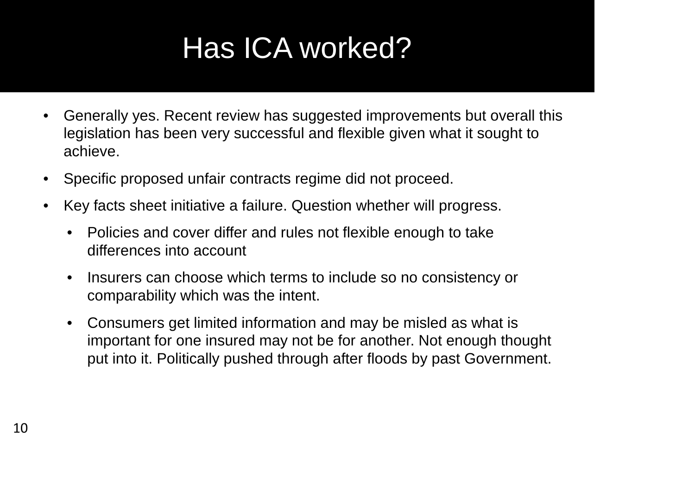### Has ICA worked?

- Generally yes. Recent review has suggested improvements but overall this legislation has been very successful and flexible given what it sought to achieve.
- Specific proposed unfair contracts regime did not proceed.
- Key facts sheet initiative a failure. Question whether will progress.
	- Policies and cover differ and rules not flexible enough to take differences into account
	- Insurers can choose which terms to include so no consistency or comparability which was the intent.
	- Consumers get limited information and may be misled as what is important for one insured may not be for another. Not enough thought put into it. Politically pushed through after floods by past Government.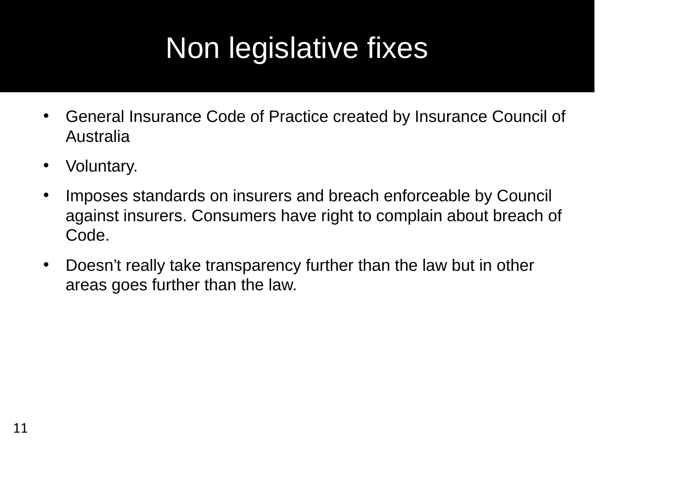## Non legislative fixes

- General Insurance Code of Practice created by Insurance Council of Australia
- Voluntary.
- Imposes standards on insurers and breach enforceable by Council against insurers. Consumers have right to complain about breach of Code.
- Doesn't really take transparency further than the law but in other areas goes further than the law.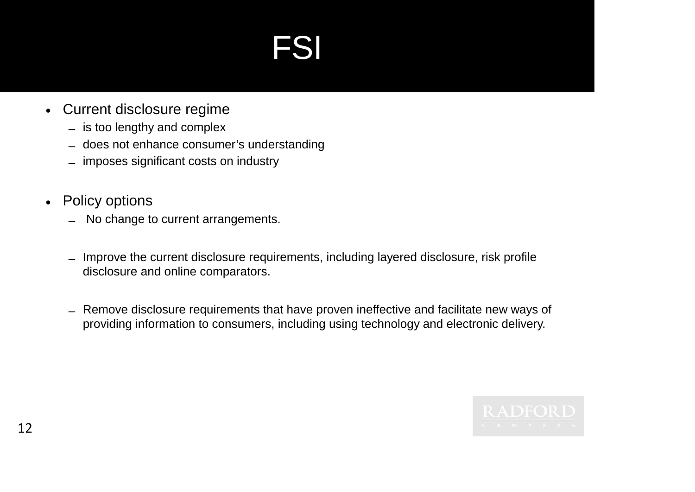# FSI

- Current disclosure regime
	- is too lengthy and complex
	- does not enhance consumer's understanding
	- imposes significant costs on industry
- Policy options
	- No change to current arrangements.
	- Improve the current disclosure requirements, including layered disclosure, risk profile disclosure and online comparators.
	- Remove disclosure requirements that have proven ineffective and facilitate new ways of providing information to consumers, including using technology and electronic delivery.

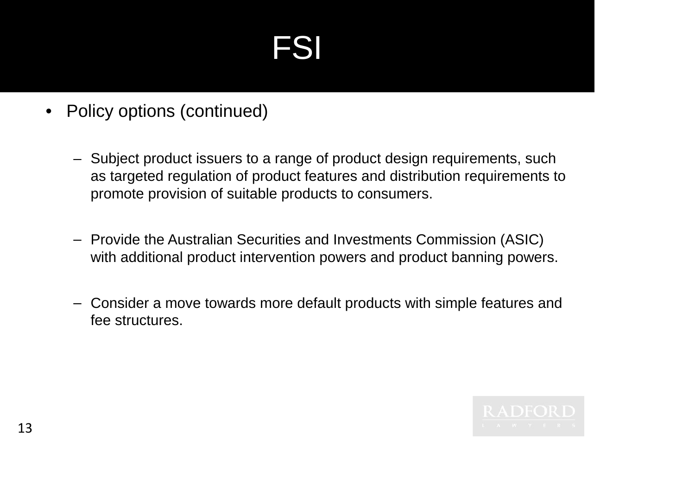# FSI

- Policy options (continued)
	- Subject product issuers to a range of product design requirements, such as targeted regulation of product features and distribution requirements to promote provision of suitable products to consumers.
	- Provide the Australian Securities and Investments Commission (ASIC) with additional product intervention powers and product banning powers.
	- Consider a move towards more default products with simple features and fee structures.